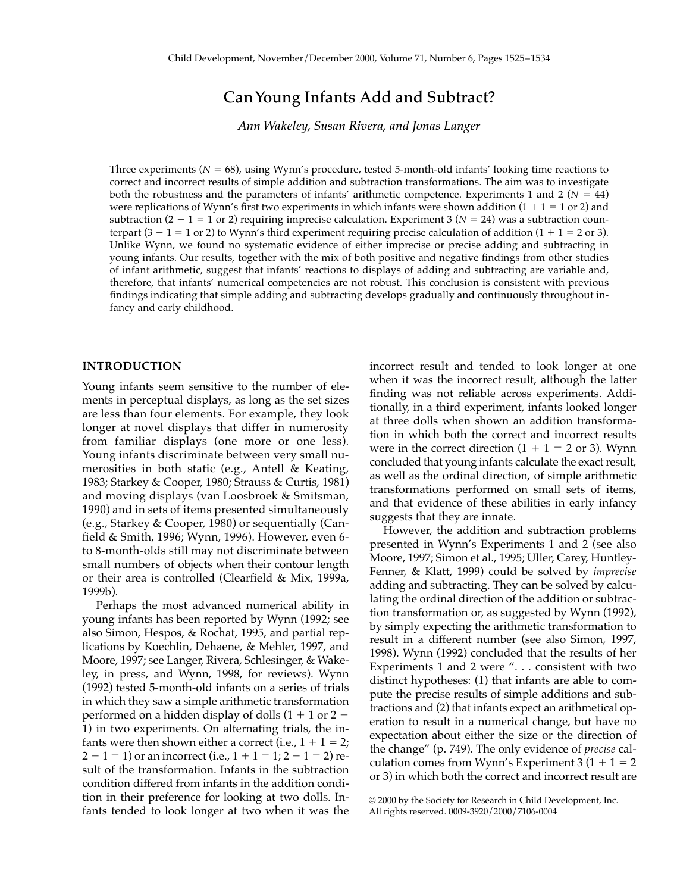# **Can Young Infants Add and Subtract?**

*Ann Wakeley, Susan Rivera, and Jonas Langer*

Three experiments ( $N = 68$ ), using Wynn's procedure, tested 5-month-old infants' looking time reactions to correct and incorrect results of simple addition and subtraction transformations. The aim was to investigate both the robustness and the parameters of infants' arithmetic competence. Experiments 1 and 2 ( $N = 44$ ) were replications of Wynn's first two experiments in which infants were shown addition  $(1 + 1 = 1$  or 2) and subtraction  $(2 - 1 = 1 \text{ or } 2)$  requiring imprecise calculation. Experiment 3  $(N = 24)$  was a subtraction counterpart  $(3 - 1 = 1 \text{ or } 2)$  to Wynn's third experiment requiring precise calculation of addition  $(1 + 1 = 2 \text{ or } 3)$ . Unlike Wynn, we found no systematic evidence of either imprecise or precise adding and subtracting in young infants. Our results, together with the mix of both positive and negative findings from other studies of infant arithmetic, suggest that infants' reactions to displays of adding and subtracting are variable and, therefore, that infants' numerical competencies are not robust. This conclusion is consistent with previous findings indicating that simple adding and subtracting develops gradually and continuously throughout infancy and early childhood.

# **INTRODUCTION**

Young infants seem sensitive to the number of elements in perceptual displays, as long as the set sizes are less than four elements. For example, they look longer at novel displays that differ in numerosity from familiar displays (one more or one less). Young infants discriminate between very small numerosities in both static (e.g., Antell & Keating, 1983; Starkey & Cooper, 1980; Strauss & Curtis, 1981) and moving displays (van Loosbroek & Smitsman, 1990) and in sets of items presented simultaneously (e.g., Starkey & Cooper, 1980) or sequentially (Canfield & Smith, 1996; Wynn, 1996). However, even 6 to 8-month-olds still may not discriminate between small numbers of objects when their contour length or their area is controlled (Clearfield & Mix, 1999a, 1999b).

Perhaps the most advanced numerical ability in young infants has been reported by Wynn (1992; see also Simon, Hespos, & Rochat, 1995, and partial replications by Koechlin, Dehaene, & Mehler, 1997, and Moore, 1997; see Langer, Rivera, Schlesinger, & Wakeley, in press, and Wynn, 1998, for reviews). Wynn (1992) tested 5-month-old infants on a series of trials in which they saw a simple arithmetic transformation performed on a hidden display of dolls  $(1 + 1)$  or  $2 -$ 1) in two experiments. On alternating trials, the infants were then shown either a correct (i.e.,  $1 + 1 = 2$ ;  $2 - 1 = 1$ ) or an incorrect (i.e.,  $1 + 1 = 1$ ;  $2 - 1 = 2$ ) result of the transformation. Infants in the subtraction condition differed from infants in the addition condition in their preference for looking at two dolls. Infants tended to look longer at two when it was the incorrect result and tended to look longer at one when it was the incorrect result, although the latter finding was not reliable across experiments. Additionally, in a third experiment, infants looked longer at three dolls when shown an addition transformation in which both the correct and incorrect results were in the correct direction  $(1 + 1 = 2 \text{ or } 3)$ . Wynn concluded that young infants calculate the exact result, as well as the ordinal direction, of simple arithmetic transformations performed on small sets of items, and that evidence of these abilities in early infancy suggests that they are innate.

However, the addition and subtraction problems presented in Wynn's Experiments 1 and 2 (see also Moore, 1997; Simon et al., 1995; Uller, Carey, Huntley-Fenner, & Klatt, 1999) could be solved by *imprecise* adding and subtracting. They can be solved by calculating the ordinal direction of the addition or subtraction transformation or, as suggested by Wynn (1992), by simply expecting the arithmetic transformation to result in a different number (see also Simon, 1997, 1998). Wynn (1992) concluded that the results of her Experiments 1 and 2 were ". . . consistent with two distinct hypotheses: (1) that infants are able to compute the precise results of simple additions and subtractions and (2) that infants expect an arithmetical operation to result in a numerical change, but have no expectation about either the size or the direction of the change" (p. 749). The only evidence of *precise* calculation comes from Wynn's Experiment  $3(1 + 1 = 2)$ or 3) in which both the correct and incorrect result are

<sup>© 2000</sup> by the Society for Research in Child Development, Inc. All rights reserved. 0009-3920/2000/7106-0004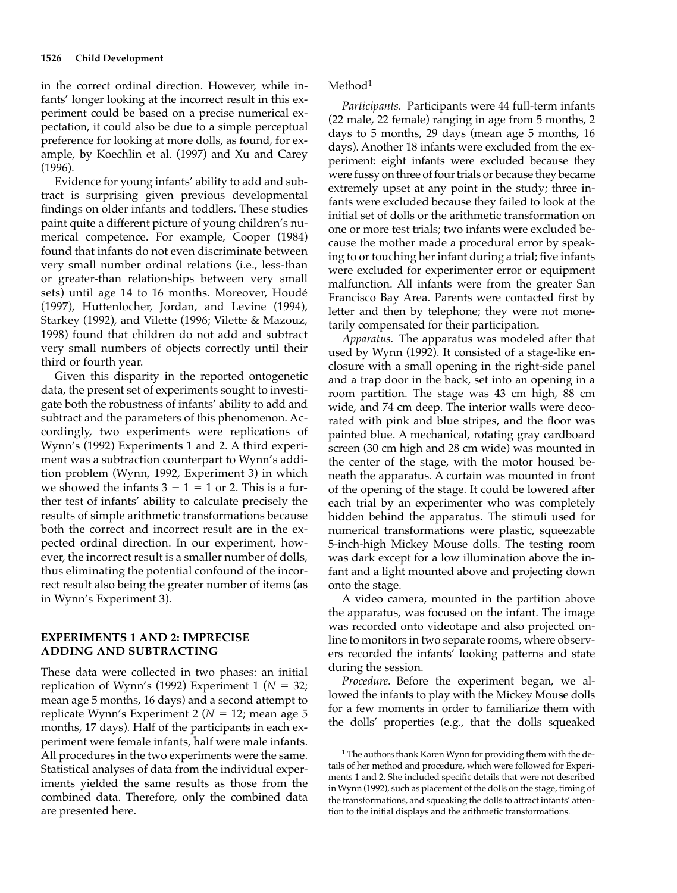in the correct ordinal direction. However, while infants' longer looking at the incorrect result in this experiment could be based on a precise numerical expectation, it could also be due to a simple perceptual preference for looking at more dolls, as found, for example, by Koechlin et al. (1997) and Xu and Carey (1996).

Evidence for young infants' ability to add and subtract is surprising given previous developmental findings on older infants and toddlers. These studies paint quite a different picture of young children's numerical competence. For example, Cooper (1984) found that infants do not even discriminate between very small number ordinal relations (i.e., less-than or greater-than relationships between very small sets) until age 14 to 16 months. Moreover, Houdé (1997), Huttenlocher, Jordan, and Levine (1994), Starkey (1992), and Vilette (1996; Vilette & Mazouz, 1998) found that children do not add and subtract very small numbers of objects correctly until their third or fourth year.

Given this disparity in the reported ontogenetic data, the present set of experiments sought to investigate both the robustness of infants' ability to add and subtract and the parameters of this phenomenon. Accordingly, two experiments were replications of Wynn's (1992) Experiments 1 and 2. A third experiment was a subtraction counterpart to Wynn's addition problem (Wynn, 1992, Experiment 3) in which we showed the infants  $3 - 1 = 1$  or 2. This is a further test of infants' ability to calculate precisely the results of simple arithmetic transformations because both the correct and incorrect result are in the expected ordinal direction. In our experiment, however, the incorrect result is a smaller number of dolls, thus eliminating the potential confound of the incorrect result also being the greater number of items (as in Wynn's Experiment 3).

# **EXPERIMENTS 1 AND 2: IMPRECISE ADDING AND SUBTRACTING**

These data were collected in two phases: an initial replication of Wynn's (1992) Experiment 1 ( $N = 32$ ; mean age 5 months, 16 days) and a second attempt to replicate Wynn's Experiment 2 ( $N = 12$ ; mean age 5 months, 17 days). Half of the participants in each experiment were female infants, half were male infants. All procedures in the two experiments were the same. Statistical analyses of data from the individual experiments yielded the same results as those from the combined data. Therefore, only the combined data are presented here.

### Method<sup>1</sup>

*Participants.* Participants were 44 full-term infants (22 male, 22 female) ranging in age from 5 months, 2 days to 5 months, 29 days (mean age 5 months, 16 days). Another 18 infants were excluded from the experiment: eight infants were excluded because they were fussy on three of four trials or because they became extremely upset at any point in the study; three infants were excluded because they failed to look at the initial set of dolls or the arithmetic transformation on one or more test trials; two infants were excluded because the mother made a procedural error by speaking to or touching her infant during a trial; five infants were excluded for experimenter error or equipment malfunction. All infants were from the greater San Francisco Bay Area. Parents were contacted first by letter and then by telephone; they were not monetarily compensated for their participation.

*Apparatus.* The apparatus was modeled after that used by Wynn (1992). It consisted of a stage-like enclosure with a small opening in the right-side panel and a trap door in the back, set into an opening in a room partition. The stage was 43 cm high, 88 cm wide, and 74 cm deep. The interior walls were decorated with pink and blue stripes, and the floor was painted blue. A mechanical, rotating gray cardboard screen (30 cm high and 28 cm wide) was mounted in the center of the stage, with the motor housed beneath the apparatus. A curtain was mounted in front of the opening of the stage. It could be lowered after each trial by an experimenter who was completely hidden behind the apparatus. The stimuli used for numerical transformations were plastic, squeezable 5-inch-high Mickey Mouse dolls. The testing room was dark except for a low illumination above the infant and a light mounted above and projecting down onto the stage.

A video camera, mounted in the partition above the apparatus, was focused on the infant. The image was recorded onto videotape and also projected online to monitors in two separate rooms, where observers recorded the infants' looking patterns and state during the session.

*Procedure.* Before the experiment began, we allowed the infants to play with the Mickey Mouse dolls for a few moments in order to familiarize them with the dolls' properties (e.g., that the dolls squeaked

<sup>&</sup>lt;sup>1</sup> The authors thank Karen Wynn for providing them with the details of her method and procedure, which were followed for Experiments 1 and 2. She included specific details that were not described in Wynn (1992), such as placement of the dolls on the stage, timing of the transformations, and squeaking the dolls to attract infants' attention to the initial displays and the arithmetic transformations.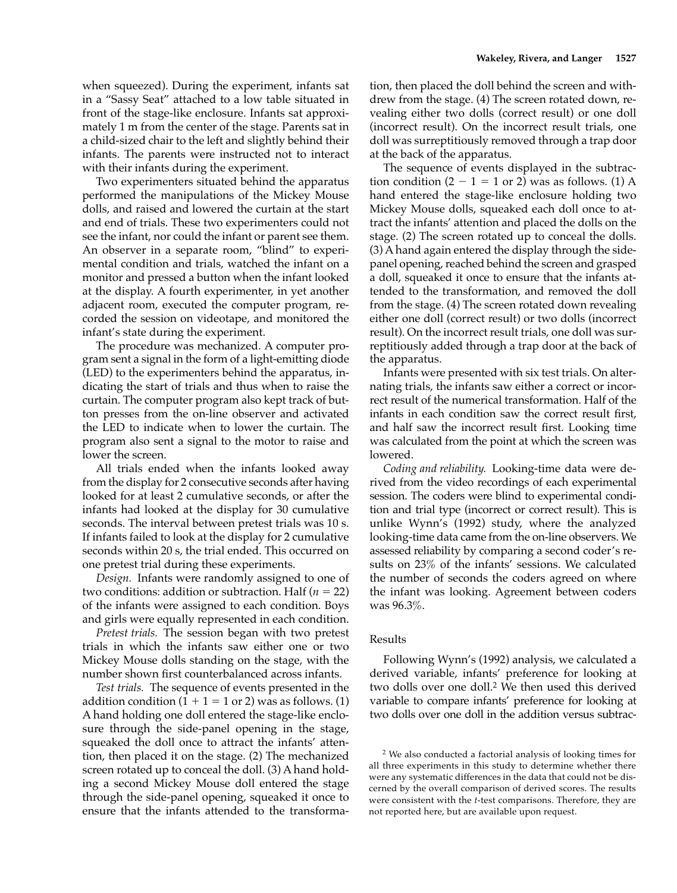when squeezed). During the experiment, infants sat in a "Sassy Seat" attached to a low table situated in front of the stage-like enclosure. Infants sat approximately 1 m from the center of the stage. Parents sat in a child-sized chair to the left and slightly behind their infants. The parents were instructed not to interact with their infants during the experiment.

Two experimenters situated behind the apparatus performed the manipulations of the Mickey Mouse dolls, and raised and lowered the curtain at the start and end of trials. These two experimenters could not see the infant, nor could the infant or parent see them. An observer in a separate room, "blind" to experimental condition and trials, watched the infant on a monitor and pressed a button when the infant looked at the display. A fourth experimenter, in yet another adjacent room, executed the computer program, recorded the session on videotape, and monitored the infant's state during the experiment.

The procedure was mechanized. A computer program sent a signal in the form of a light-emitting diode (LED) to the experimenters behind the apparatus, indicating the start of trials and thus when to raise the curtain. The computer program also kept track of button presses from the on-line observer and activated the LED to indicate when to lower the curtain. The program also sent a signal to the motor to raise and lower the screen.

All trials ended when the infants looked away from the display for 2 consecutive seconds after having looked for at least 2 cumulative seconds, or after the infants had looked at the display for 30 cumulative seconds. The interval between pretest trials was 10 s. If infants failed to look at the display for 2 cumulative seconds within 20 s, the trial ended. This occurred on one pretest trial during these experiments.

*Design.* Infants were randomly assigned to one of two conditions: addition or subtraction. Half  $(n = 22)$ of the infants were assigned to each condition. Boys and girls were equally represented in each condition.

*Pretest trials.* The session began with two pretest trials in which the infants saw either one or two Mickey Mouse dolls standing on the stage, with the number shown first counterbalanced across infants.

*Test trials.* The sequence of events presented in the addition condition  $(1 + 1 = 1 \text{ or } 2)$  was as follows. (1) A hand holding one doll entered the stage-like enclosure through the side-panel opening in the stage, squeaked the doll once to attract the infants' attention, then placed it on the stage. (2) The mechanized screen rotated up to conceal the doll. (3) A hand holding a second Mickey Mouse doll entered the stage through the side-panel opening, squeaked it once to ensure that the infants attended to the transformation, then placed the doll behind the screen and withdrew from the stage. (4) The screen rotated down, revealing either two dolls (correct result) or one doll (incorrect result). On the incorrect result trials, one doll was surreptitiously removed through a trap door at the back of the apparatus.

The sequence of events displayed in the subtraction condition  $(2 - 1 = 1 \text{ or } 2)$  was as follows. (1) A hand entered the stage-like enclosure holding two Mickey Mouse dolls, squeaked each doll once to attract the infants' attention and placed the dolls on the stage. (2) The screen rotated up to conceal the dolls. (3) A hand again entered the display through the sidepanel opening, reached behind the screen and grasped a doll, squeaked it once to ensure that the infants attended to the transformation, and removed the doll from the stage. (4) The screen rotated down revealing either one doll (correct result) or two dolls (incorrect result). On the incorrect result trials, one doll was surreptitiously added through a trap door at the back of the apparatus.

Infants were presented with six test trials. On alternating trials, the infants saw either a correct or incorrect result of the numerical transformation. Half of the infants in each condition saw the correct result first, and half saw the incorrect result first. Looking time was calculated from the point at which the screen was lowered.

*Coding and reliability.* Looking-time data were derived from the video recordings of each experimental session. The coders were blind to experimental condition and trial type (incorrect or correct result). This is unlike Wynn's (1992) study, where the analyzed looking-time data came from the on-line observers. We assessed reliability by comparing a second coder's results on 23% of the infants' sessions. We calculated the number of seconds the coders agreed on where the infant was looking. Agreement between coders was 96.3%.

# Results

Following Wynn's (1992) analysis, we calculated a derived variable, infants' preference for looking at two dolls over one doll.2 We then used this derived variable to compare infants' preference for looking at two dolls over one doll in the addition versus subtrac-

<sup>2</sup> We also conducted a factorial analysis of looking times for all three experiments in this study to determine whether there were any systematic differences in the data that could not be discerned by the overall comparison of derived scores. The results were consistent with the *t*-test comparisons. Therefore, they are not reported here, but are available upon request.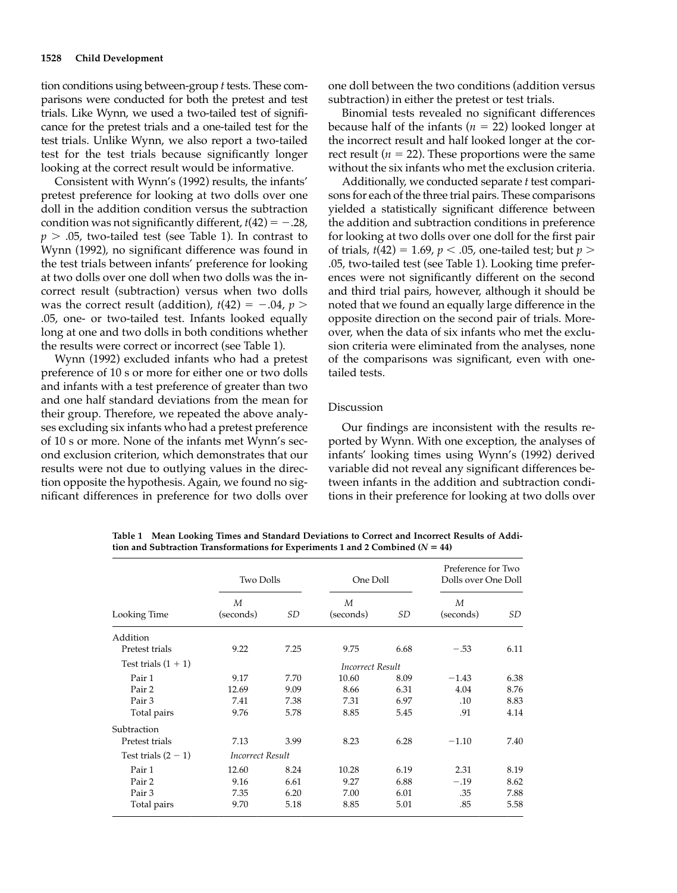tion conditions using between-group *t* tests. These comparisons were conducted for both the pretest and test trials. Like Wynn, we used a two-tailed test of significance for the pretest trials and a one-tailed test for the test trials. Unlike Wynn, we also report a two-tailed test for the test trials because significantly longer looking at the correct result would be informative.

Consistent with Wynn's (1992) results, the infants' pretest preference for looking at two dolls over one doll in the addition condition versus the subtraction condition was not significantly different,  $t(42) = -.28$ ,  $p > .05$ , two-tailed test (see Table 1). In contrast to Wynn (1992), no significant difference was found in the test trials between infants' preference for looking at two dolls over one doll when two dolls was the incorrect result (subtraction) versus when two dolls was the correct result (addition),  $t(42) = -.04$ ,  $p >$ .05, one- or two-tailed test. Infants looked equally long at one and two dolls in both conditions whether the results were correct or incorrect (see Table 1).

Wynn (1992) excluded infants who had a pretest preference of 10 s or more for either one or two dolls and infants with a test preference of greater than two and one half standard deviations from the mean for their group. Therefore, we repeated the above analyses excluding six infants who had a pretest preference of 10 s or more. None of the infants met Wynn's second exclusion criterion, which demonstrates that our results were not due to outlying values in the direction opposite the hypothesis. Again, we found no significant differences in preference for two dolls over

one doll between the two conditions (addition versus subtraction) in either the pretest or test trials.

Binomial tests revealed no significant differences because half of the infants ( $n = 22$ ) looked longer at the incorrect result and half looked longer at the correct result ( $n = 22$ ). These proportions were the same without the six infants who met the exclusion criteria.

Additionally, we conducted separate *t* test comparisons for each of the three trial pairs. These comparisons yielded a statistically significant difference between the addition and subtraction conditions in preference for looking at two dolls over one doll for the first pair of trials, *t*(42) = 1.69, *p* < .05, one-tailed test; but *p* > .05, two-tailed test (see Table 1). Looking time preferences were not significantly different on the second and third trial pairs, however, although it should be noted that we found an equally large difference in the opposite direction on the second pair of trials. Moreover, when the data of six infants who met the exclusion criteria were eliminated from the analyses, none of the comparisons was significant, even with onetailed tests.

#### Discussion

Our findings are inconsistent with the results reported by Wynn. With one exception, the analyses of infants' looking times using Wynn's (1992) derived variable did not reveal any significant differences between infants in the addition and subtraction conditions in their preference for looking at two dolls over

| Looking Time          | <b>Two Dolls</b>        |      | One Doll       |      | Preference for Two<br>Dolls over One Doll |      |  |  |  |
|-----------------------|-------------------------|------|----------------|------|-------------------------------------------|------|--|--|--|
|                       | M<br>(seconds)          | SD   | M<br>(seconds) | SD   | M<br>(seconds)                            | SD   |  |  |  |
| Addition              |                         |      |                |      |                                           |      |  |  |  |
| Pretest trials        | 9.22                    | 7.25 | 9.75           | 6.68 | $-.53$                                    | 6.11 |  |  |  |
| Test trials $(1 + 1)$ | <b>Incorrect Result</b> |      |                |      |                                           |      |  |  |  |
| Pair 1                | 9.17                    | 7.70 | 10.60          | 8.09 | $-1.43$                                   | 6.38 |  |  |  |
| Pair 2                | 12.69                   | 9.09 | 8.66           | 6.31 | 4.04                                      | 8.76 |  |  |  |
| Pair 3                | 7.41                    | 7.38 | 7.31           | 6.97 | .10                                       | 8.83 |  |  |  |
| Total pairs           | 9.76                    | 5.78 | 8.85           | 5.45 | .91                                       | 4.14 |  |  |  |
| Subtraction           |                         |      |                |      |                                           |      |  |  |  |
| Pretest trials        | 7.13                    | 3.99 | 8.23           | 6.28 | $-1.10$                                   | 7.40 |  |  |  |
| Test trials $(2 - 1)$ | Incorrect Result        |      |                |      |                                           |      |  |  |  |
| Pair 1                | 12.60                   | 8.24 | 10.28          | 6.19 | 2.31                                      | 8.19 |  |  |  |
| Pair 2                | 9.16                    | 6.61 | 9.27           | 6.88 | $-.19$                                    | 8.62 |  |  |  |
| Pair 3                | 7.35                    | 6.20 | 7.00           | 6.01 | .35                                       | 7.88 |  |  |  |
| Total pairs           | 9.70                    | 5.18 | 8.85           | 5.01 | .85                                       | 5.58 |  |  |  |

**Table 1 Mean Looking Times and Standard Deviations to Correct and Incorrect Results of Addi**tion and Subtraction Transformations for Experiments 1 and 2 Combined  $(N = 44)$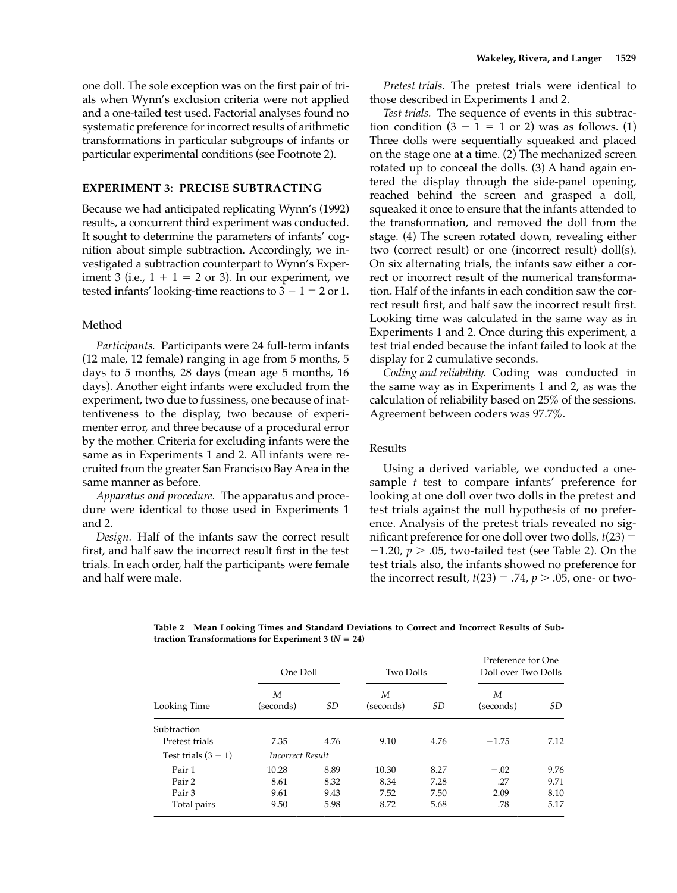one doll. The sole exception was on the first pair of trials when Wynn's exclusion criteria were not applied and a one-tailed test used. Factorial analyses found no systematic preference for incorrect results of arithmetic transformations in particular subgroups of infants or particular experimental conditions (see Footnote 2).

# **EXPERIMENT 3: PRECISE SUBTRACTING**

Because we had anticipated replicating Wynn's (1992) results, a concurrent third experiment was conducted. It sought to determine the parameters of infants' cognition about simple subtraction. Accordingly, we investigated a subtraction counterpart to Wynn's Experiment 3 (i.e.,  $1 + 1 = 2$  or 3). In our experiment, we tested infants' looking-time reactions to  $3 - 1 = 2$  or 1.

### Method

*Participants.* Participants were 24 full-term infants (12 male, 12 female) ranging in age from 5 months, 5 days to 5 months, 28 days (mean age 5 months, 16 days). Another eight infants were excluded from the experiment, two due to fussiness, one because of inattentiveness to the display, two because of experimenter error, and three because of a procedural error by the mother. Criteria for excluding infants were the same as in Experiments 1 and 2. All infants were recruited from the greater San Francisco Bay Area in the same manner as before.

*Apparatus and procedure.* The apparatus and procedure were identical to those used in Experiments 1 and 2.

*Design.* Half of the infants saw the correct result first, and half saw the incorrect result first in the test trials. In each order, half the participants were female and half were male.

*Pretest trials.* The pretest trials were identical to those described in Experiments 1 and 2.

*Test trials.* The sequence of events in this subtraction condition  $(3 - 1 = 1 \text{ or } 2)$  was as follows. (1) Three dolls were sequentially squeaked and placed on the stage one at a time. (2) The mechanized screen rotated up to conceal the dolls. (3) A hand again entered the display through the side-panel opening, reached behind the screen and grasped a doll, squeaked it once to ensure that the infants attended to the transformation, and removed the doll from the stage. (4) The screen rotated down, revealing either two (correct result) or one (incorrect result) doll(s). On six alternating trials, the infants saw either a correct or incorrect result of the numerical transformation. Half of the infants in each condition saw the correct result first, and half saw the incorrect result first. Looking time was calculated in the same way as in Experiments 1 and 2. Once during this experiment, a test trial ended because the infant failed to look at the display for 2 cumulative seconds.

*Coding and reliability.* Coding was conducted in the same way as in Experiments 1 and 2, as was the calculation of reliability based on 25% of the sessions. Agreement between coders was 97.7%.

#### Results

Using a derived variable, we conducted a onesample *t* test to compare infants' preference for looking at one doll over two dolls in the pretest and test trials against the null hypothesis of no preference. Analysis of the pretest trials revealed no significant preference for one doll over two dolls,  $t(23) =$  $-1.20$ ,  $p > .05$ , two-tailed test (see Table 2). On the test trials also, the infants showed no preference for the incorrect result,  $t(23) = .74$ ,  $p > .05$ , one- or two-

**Table 2 Mean Looking Times and Standard Deviations to Correct and Incorrect Results of Subtraction Transformations for Experiment 3 (** $N = 24$ **)** 

| Looking Time          | One Doll                |      | <b>Two Dolls</b> |      | Preference for One<br>Doll over Two Dolls |      |
|-----------------------|-------------------------|------|------------------|------|-------------------------------------------|------|
|                       | М<br>(seconds)          | SD   | М<br>(seconds)   | SD   | М<br>(seconds)                            | SD   |
| Subtraction           |                         |      |                  |      |                                           |      |
| Pretest trials        | 7.35                    | 4.76 | 9.10             | 4.76 | $-1.75$                                   | 7.12 |
| Test trials $(3 - 1)$ | <i>Incorrect Result</i> |      |                  |      |                                           |      |
| Pair 1                | 10.28                   | 8.89 | 10.30            | 8.27 | $-.02$                                    | 9.76 |
| Pair 2                | 8.61                    | 8.32 | 8.34             | 7.28 | .27                                       | 9.71 |
| Pair 3                | 9.61                    | 9.43 | 7.52             | 7.50 | 2.09                                      | 8.10 |
| Total pairs           | 9.50                    | 5.98 | 8.72             | 5.68 | .78                                       | 5.17 |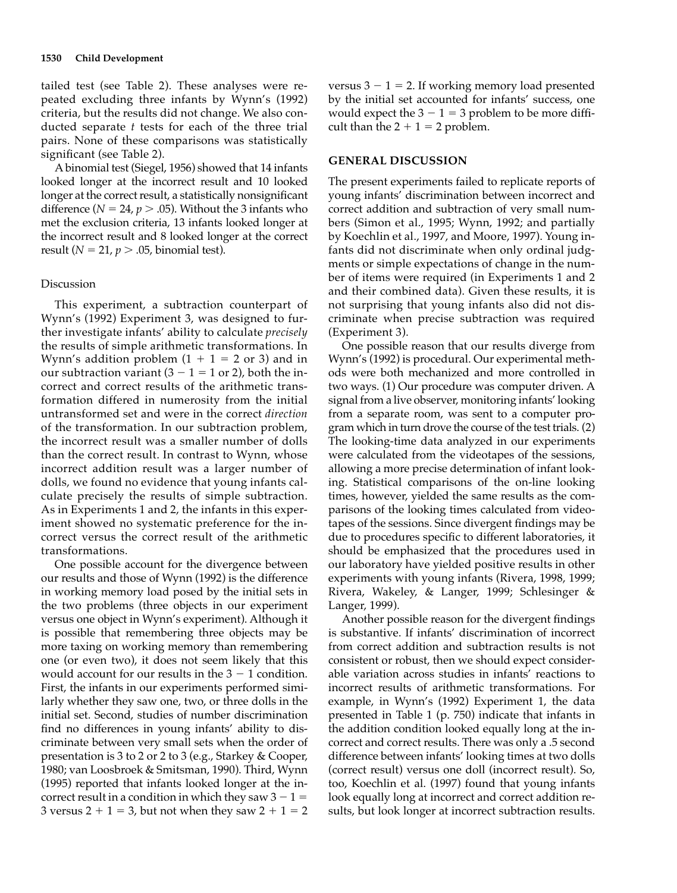tailed test (see Table 2). These analyses were repeated excluding three infants by Wynn's (1992) criteria, but the results did not change. We also conducted separate *t* tests for each of the three trial pairs. None of these comparisons was statistically significant (see Table 2).

A binomial test (Siegel, 1956) showed that 14 infants looked longer at the incorrect result and 10 looked longer at the correct result, a statistically nonsignificant difference ( $N = 24$ ,  $p > .05$ ). Without the 3 infants who met the exclusion criteria, 13 infants looked longer at the incorrect result and 8 looked longer at the correct result ( $N = 21$ ,  $p > .05$ , binomial test).

#### Discussion

This experiment, a subtraction counterpart of Wynn's (1992) Experiment 3, was designed to further investigate infants' ability to calculate *precisely* the results of simple arithmetic transformations. In Wynn's addition problem  $(1 + 1 = 2 \text{ or } 3)$  and in our subtraction variant  $(3 - 1 = 1 \text{ or } 2)$ , both the incorrect and correct results of the arithmetic transformation differed in numerosity from the initial untransformed set and were in the correct *direction* of the transformation. In our subtraction problem, the incorrect result was a smaller number of dolls than the correct result. In contrast to Wynn, whose incorrect addition result was a larger number of dolls, we found no evidence that young infants calculate precisely the results of simple subtraction. As in Experiments 1 and 2, the infants in this experiment showed no systematic preference for the incorrect versus the correct result of the arithmetic transformations.

One possible account for the divergence between our results and those of Wynn (1992) is the difference in working memory load posed by the initial sets in the two problems (three objects in our experiment versus one object in Wynn's experiment). Although it is possible that remembering three objects may be more taxing on working memory than remembering one (or even two), it does not seem likely that this would account for our results in the  $3 - 1$  condition. First, the infants in our experiments performed similarly whether they saw one, two, or three dolls in the initial set. Second, studies of number discrimination find no differences in young infants' ability to discriminate between very small sets when the order of presentation is 3 to 2 or 2 to 3 (e.g., Starkey & Cooper, 1980; van Loosbroek & Smitsman, 1990). Third, Wynn (1995) reported that infants looked longer at the incorrect result in a condition in which they saw  $3 - 1 =$ 3 versus  $2 + 1 = 3$ , but not when they saw  $2 + 1 = 2$ 

versus  $3 - 1 = 2$ . If working memory load presented by the initial set accounted for infants' success, one would expect the  $3 - 1 = 3$  problem to be more difficult than the  $2 + 1 = 2$  problem.

## **GENERAL DISCUSSION**

The present experiments failed to replicate reports of young infants' discrimination between incorrect and correct addition and subtraction of very small numbers (Simon et al., 1995; Wynn, 1992; and partially by Koechlin et al., 1997, and Moore, 1997). Young infants did not discriminate when only ordinal judgments or simple expectations of change in the number of items were required (in Experiments 1 and 2 and their combined data). Given these results, it is not surprising that young infants also did not discriminate when precise subtraction was required (Experiment 3).

One possible reason that our results diverge from Wynn's (1992) is procedural. Our experimental methods were both mechanized and more controlled in two ways. (1) Our procedure was computer driven. A signal from a live observer, monitoring infants' looking from a separate room, was sent to a computer program which in turn drove the course of the test trials. (2) The looking-time data analyzed in our experiments were calculated from the videotapes of the sessions, allowing a more precise determination of infant looking. Statistical comparisons of the on-line looking times, however, yielded the same results as the comparisons of the looking times calculated from videotapes of the sessions. Since divergent findings may be due to procedures specific to different laboratories, it should be emphasized that the procedures used in our laboratory have yielded positive results in other experiments with young infants (Rivera, 1998, 1999; Rivera, Wakeley, & Langer, 1999; Schlesinger & Langer, 1999).

Another possible reason for the divergent findings is substantive. If infants' discrimination of incorrect from correct addition and subtraction results is not consistent or robust, then we should expect considerable variation across studies in infants' reactions to incorrect results of arithmetic transformations. For example, in Wynn's (1992) Experiment 1, the data presented in Table 1 (p. 750) indicate that infants in the addition condition looked equally long at the incorrect and correct results. There was only a .5 second difference between infants' looking times at two dolls (correct result) versus one doll (incorrect result). So, too, Koechlin et al. (1997) found that young infants look equally long at incorrect and correct addition results, but look longer at incorrect subtraction results.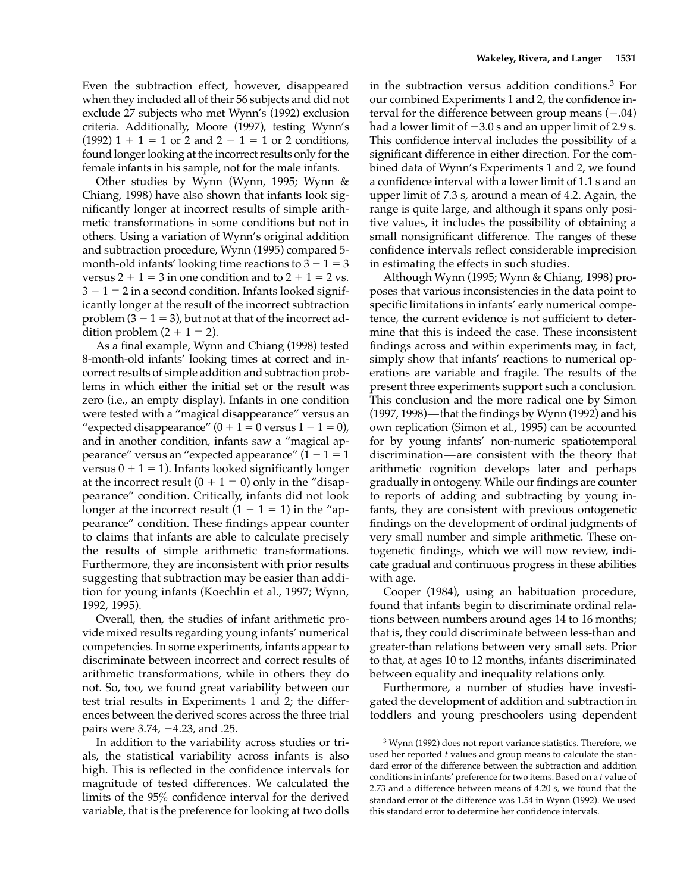Even the subtraction effect, however, disappeared when they included all of their 56 subjects and did not exclude 27 subjects who met Wynn's (1992) exclusion criteria. Additionally, Moore (1997), testing Wynn's  $(1992)$  1 + 1 = 1 or 2 and 2 - 1 = 1 or 2 conditions, found longer looking at the incorrect results only for the female infants in his sample, not for the male infants.

Other studies by Wynn (Wynn, 1995; Wynn & Chiang, 1998) have also shown that infants look significantly longer at incorrect results of simple arithmetic transformations in some conditions but not in others. Using a variation of Wynn's original addition and subtraction procedure, Wynn (1995) compared 5 month-old infants' looking time reactions to  $3 - 1 = 3$ versus  $2 + 1 = 3$  in one condition and to  $2 + 1 = 2$  vs.  $3 - 1 = 2$  in a second condition. Infants looked significantly longer at the result of the incorrect subtraction problem  $(3 - 1 = 3)$ , but not at that of the incorrect addition problem  $(2 + 1 = 2)$ .

As a final example, Wynn and Chiang (1998) tested 8-month-old infants' looking times at correct and incorrect results of simple addition and subtraction problems in which either the initial set or the result was zero (i.e., an empty display). Infants in one condition were tested with a "magical disappearance" versus an "expected disappearance"  $(0 + 1 = 0$  versus  $1 - 1 = 0$ ), and in another condition, infants saw a "magical appearance" versus an "expected appearance"  $(1 - 1 = 1$ versus  $0 + 1 = 1$ ). Infants looked significantly longer at the incorrect result  $(0 + 1 = 0)$  only in the "disappearance" condition. Critically, infants did not look longer at the incorrect result  $(1 - 1 = 1)$  in the "appearance" condition. These findings appear counter to claims that infants are able to calculate precisely the results of simple arithmetic transformations. Furthermore, they are inconsistent with prior results suggesting that subtraction may be easier than addition for young infants (Koechlin et al., 1997; Wynn, 1992, 1995).

Overall, then, the studies of infant arithmetic provide mixed results regarding young infants' numerical competencies. In some experiments, infants appear to discriminate between incorrect and correct results of arithmetic transformations, while in others they do not. So, too, we found great variability between our test trial results in Experiments 1 and 2; the differences between the derived scores across the three trial pairs were  $3.74, -4.23$ , and .25.

In addition to the variability across studies or trials, the statistical variability across infants is also high. This is reflected in the confidence intervals for magnitude of tested differences. We calculated the limits of the 95% confidence interval for the derived variable, that is the preference for looking at two dolls

in the subtraction versus addition conditions.3 For our combined Experiments 1 and 2, the confidence interval for the difference between group means  $(-.04)$ had a lower limit of  $-3.0$  s and an upper limit of 2.9 s. This confidence interval includes the possibility of a significant difference in either direction. For the combined data of Wynn's Experiments 1 and 2, we found a confidence interval with a lower limit of 1.1 s and an upper limit of 7.3 s, around a mean of 4.2. Again, the range is quite large, and although it spans only positive values, it includes the possibility of obtaining a small nonsignificant difference. The ranges of these confidence intervals reflect considerable imprecision in estimating the effects in such studies.

Although Wynn (1995; Wynn & Chiang, 1998) proposes that various inconsistencies in the data point to specific limitations in infants' early numerical competence, the current evidence is not sufficient to determine that this is indeed the case. These inconsistent findings across and within experiments may, in fact, simply show that infants' reactions to numerical operations are variable and fragile. The results of the present three experiments support such a conclusion. This conclusion and the more radical one by Simon (1997, 1998)—that the findings by Wynn (1992) and his own replication (Simon et al., 1995) can be accounted for by young infants' non-numeric spatiotemporal discrimination—are consistent with the theory that arithmetic cognition develops later and perhaps gradually in ontogeny. While our findings are counter to reports of adding and subtracting by young infants, they are consistent with previous ontogenetic findings on the development of ordinal judgments of very small number and simple arithmetic. These ontogenetic findings, which we will now review, indicate gradual and continuous progress in these abilities with age.

Cooper (1984), using an habituation procedure, found that infants begin to discriminate ordinal relations between numbers around ages 14 to 16 months; that is, they could discriminate between less-than and greater-than relations between very small sets. Prior to that, at ages 10 to 12 months, infants discriminated between equality and inequality relations only.

Furthermore, a number of studies have investigated the development of addition and subtraction in toddlers and young preschoolers using dependent

<sup>3</sup> Wynn (1992) does not report variance statistics. Therefore, we used her reported *t* values and group means to calculate the standard error of the difference between the subtraction and addition conditions in infants' preference for two items. Based on a *t* value of 2.73 and a difference between means of 4.20 s, we found that the standard error of the difference was 1.54 in Wynn (1992). We used this standard error to determine her confidence intervals.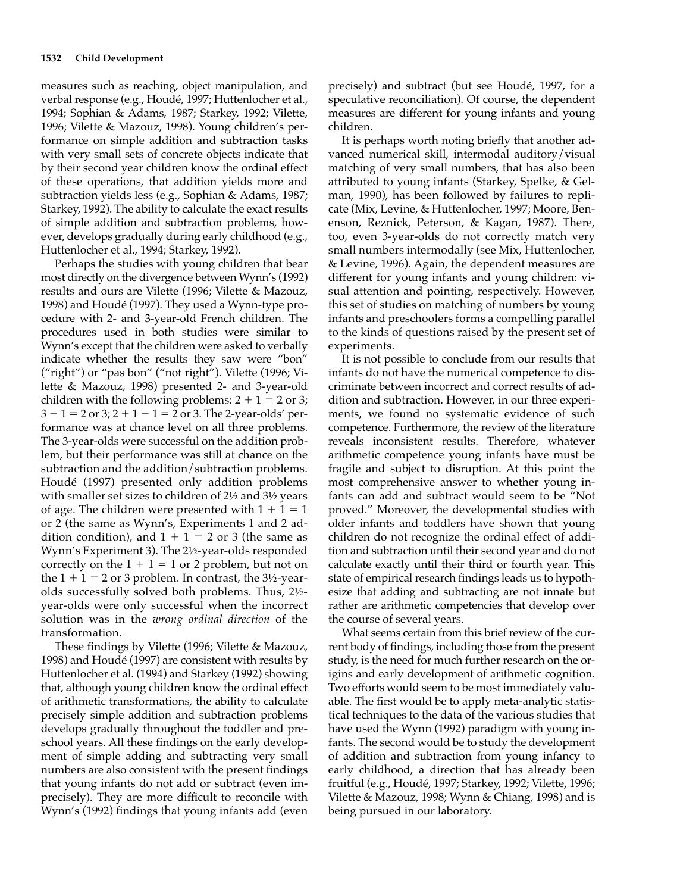measures such as reaching, object manipulation, and verbal response (e.g., Houdé, 1997; Huttenlocher et al., 1994; Sophian & Adams, 1987; Starkey, 1992; Vilette, 1996; Vilette & Mazouz, 1998). Young children's performance on simple addition and subtraction tasks with very small sets of concrete objects indicate that by their second year children know the ordinal effect of these operations, that addition yields more and subtraction yields less (e.g., Sophian & Adams, 1987; Starkey, 1992). The ability to calculate the exact results of simple addition and subtraction problems, however, develops gradually during early childhood (e.g., Huttenlocher et al., 1994; Starkey, 1992).

Perhaps the studies with young children that bear most directly on the divergence between Wynn's (1992) results and ours are Vilette (1996; Vilette & Mazouz, 1998) and Houdé (1997). They used a Wynn-type procedure with 2- and 3-year-old French children. The procedures used in both studies were similar to Wynn's except that the children were asked to verbally indicate whether the results they saw were "bon" ("right") or "pas bon" ("not right"). Vilette (1996; Vilette & Mazouz, 1998) presented 2- and 3-year-old children with the following problems:  $2 + 1 = 2$  or 3;  $3 - 1 = 2$  or  $3$ ;  $2 + 1 - 1 = 2$  or 3. The 2-year-olds' performance was at chance level on all three problems. The 3-year-olds were successful on the addition problem, but their performance was still at chance on the subtraction and the addition/subtraction problems. Houdé (1997) presented only addition problems with smaller set sizes to children of 2½ and 3½ years of age. The children were presented with  $1 + 1 = 1$ or 2 (the same as Wynn's, Experiments 1 and 2 addition condition), and  $1 + 1 = 2$  or 3 (the same as Wynn's Experiment 3). The 2½-year-olds responded correctly on the  $1 + 1 = 1$  or 2 problem, but not on the  $1 + 1 = 2$  or 3 problem. In contrast, the 3½-yearolds successfully solved both problems. Thus, 2½ year-olds were only successful when the incorrect solution was in the *wrong ordinal direction* of the transformation.

These findings by Vilette (1996; Vilette & Mazouz, 1998) and Houdé (1997) are consistent with results by Huttenlocher et al. (1994) and Starkey (1992) showing that, although young children know the ordinal effect of arithmetic transformations, the ability to calculate precisely simple addition and subtraction problems develops gradually throughout the toddler and preschool years. All these findings on the early development of simple adding and subtracting very small numbers are also consistent with the present findings that young infants do not add or subtract (even imprecisely). They are more difficult to reconcile with Wynn's (1992) findings that young infants add (even

precisely) and subtract (but see Houdé, 1997, for a speculative reconciliation). Of course, the dependent measures are different for young infants and young children.

It is perhaps worth noting briefly that another advanced numerical skill, intermodal auditory/visual matching of very small numbers, that has also been attributed to young infants (Starkey, Spelke, & Gelman, 1990), has been followed by failures to replicate (Mix, Levine, & Huttenlocher, 1997; Moore, Benenson, Reznick, Peterson, & Kagan, 1987). There, too, even 3-year-olds do not correctly match very small numbers intermodally (see Mix, Huttenlocher, & Levine, 1996). Again, the dependent measures are different for young infants and young children: visual attention and pointing, respectively. However, this set of studies on matching of numbers by young infants and preschoolers forms a compelling parallel to the kinds of questions raised by the present set of experiments.

It is not possible to conclude from our results that infants do not have the numerical competence to discriminate between incorrect and correct results of addition and subtraction. However, in our three experiments, we found no systematic evidence of such competence. Furthermore, the review of the literature reveals inconsistent results. Therefore, whatever arithmetic competence young infants have must be fragile and subject to disruption. At this point the most comprehensive answer to whether young infants can add and subtract would seem to be "Not proved." Moreover, the developmental studies with older infants and toddlers have shown that young children do not recognize the ordinal effect of addition and subtraction until their second year and do not calculate exactly until their third or fourth year. This state of empirical research findings leads us to hypothesize that adding and subtracting are not innate but rather are arithmetic competencies that develop over the course of several years.

What seems certain from this brief review of the current body of findings, including those from the present study, is the need for much further research on the origins and early development of arithmetic cognition. Two efforts would seem to be most immediately valuable. The first would be to apply meta-analytic statistical techniques to the data of the various studies that have used the Wynn (1992) paradigm with young infants. The second would be to study the development of addition and subtraction from young infancy to early childhood, a direction that has already been fruitful (e.g., Houdé, 1997; Starkey, 1992; Vilette, 1996; Vilette & Mazouz, 1998; Wynn & Chiang, 1998) and is being pursued in our laboratory.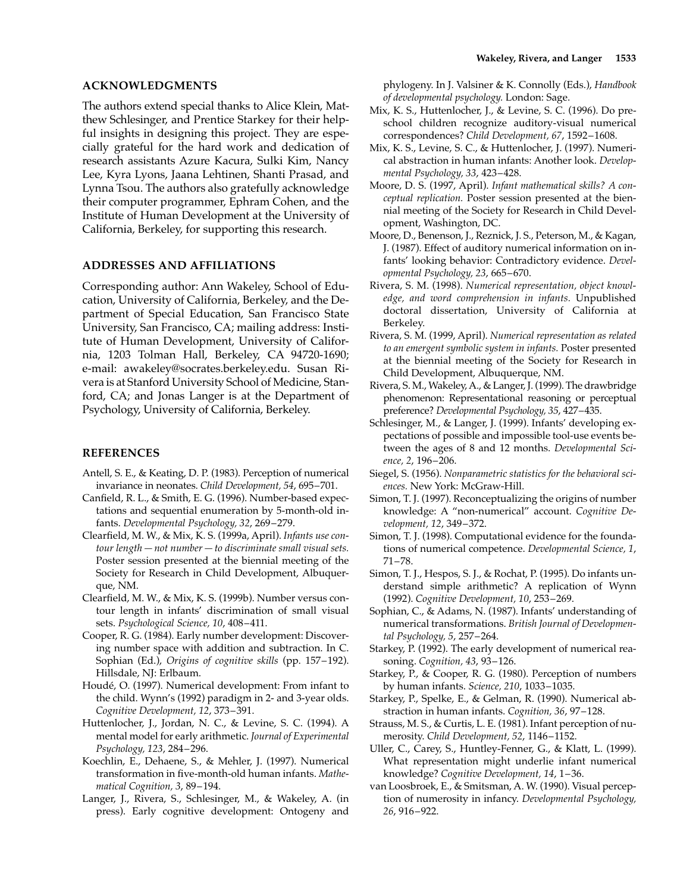### **ACKNOWLEDGMENTS**

The authors extend special thanks to Alice Klein, Matthew Schlesinger, and Prentice Starkey for their helpful insights in designing this project. They are especially grateful for the hard work and dedication of research assistants Azure Kacura, Sulki Kim, Nancy Lee, Kyra Lyons, Jaana Lehtinen, Shanti Prasad, and Lynna Tsou. The authors also gratefully acknowledge their computer programmer, Ephram Cohen, and the Institute of Human Development at the University of California, Berkeley, for supporting this research.

# **ADDRESSES AND AFFILIATIONS**

Corresponding author: Ann Wakeley, School of Education, University of California, Berkeley, and the Department of Special Education, San Francisco State University, San Francisco, CA; mailing address: Institute of Human Development, University of California, 1203 Tolman Hall, Berkeley, CA 94720-1690; e-mail: awakeley@socrates.berkeley.edu. Susan Rivera is at Stanford University School of Medicine, Stanford, CA; and Jonas Langer is at the Department of Psychology, University of California, Berkeley.

# **REFERENCES**

- Antell, S. E., & Keating, D. P. (1983). Perception of numerical invariance in neonates. *Child Development, 54*, 695–701.
- Canfield, R. L., & Smith, E. G. (1996). Number-based expectations and sequential enumeration by 5-month-old infants. *Developmental Psychology, 32*, 269–279.
- Clearfield, M. W., & Mix, K. S. (1999a, April). *Infants use contour length—not number—to discriminate small visual sets.* Poster session presented at the biennial meeting of the Society for Research in Child Development, Albuquerque, NM.
- Clearfield, M. W., & Mix, K. S. (1999b). Number versus contour length in infants' discrimination of small visual sets. *Psychological Science, 10*, 408–411.
- Cooper, R. G. (1984). Early number development: Discovering number space with addition and subtraction. In C. Sophian (Ed.), *Origins of cognitive skills* (pp. 157–192). Hillsdale, NJ: Erlbaum.
- Houdé, O. (1997). Numerical development: From infant to the child. Wynn's (1992) paradigm in 2- and 3-year olds. *Cognitive Development, 12*, 373–391.
- Huttenlocher, J., Jordan, N. C., & Levine, S. C. (1994). A mental model for early arithmetic. *Journal of Experimental Psychology, 123*, 284–296.
- Koechlin, E., Dehaene, S., & Mehler, J. (1997). Numerical transformation in five-month-old human infants. *Mathematical Cognition, 3*, 89–194.
- Langer, J., Rivera, S., Schlesinger, M., & Wakeley, A. (in press). Early cognitive development: Ontogeny and

phylogeny. In J. Valsiner & K. Connolly (Eds.), *Handbook of developmental psychology.* London: Sage.

- Mix, K. S., Huttenlocher, J., & Levine, S. C. (1996). Do preschool children recognize auditory-visual numerical correspondences? *Child Development, 67*, 1592–1608.
- Mix, K. S., Levine, S. C., & Huttenlocher, J. (1997). Numerical abstraction in human infants: Another look. *Developmental Psychology, 33*, 423–428.
- Moore, D. S. (1997, April). *Infant mathematical skills? A conceptual replication.* Poster session presented at the biennial meeting of the Society for Research in Child Development, Washington, DC.
- Moore, D., Benenson, J., Reznick, J. S., Peterson, M., & Kagan, J. (1987). Effect of auditory numerical information on infants' looking behavior: Contradictory evidence. *Developmental Psychology, 23*, 665–670.
- Rivera, S. M. (1998). *Numerical representation, object knowledge, and word comprehension in infants.* Unpublished doctoral dissertation, University of California at Berkeley.
- Rivera, S. M. (1999, April). *Numerical representation as related to an emergent symbolic system in infants.* Poster presented at the biennial meeting of the Society for Research in Child Development, Albuquerque, NM.
- Rivera, S. M., Wakeley, A., & Langer, J. (1999). The drawbridge phenomenon: Representational reasoning or perceptual preference? *Developmental Psychology, 35*, 427–435.
- Schlesinger, M., & Langer, J. (1999). Infants' developing expectations of possible and impossible tool-use events between the ages of 8 and 12 months. *Developmental Science, 2*, 196–206.
- Siegel, S. (1956). *Nonparametric statistics for the behavioral sciences.* New York: McGraw-Hill.
- Simon, T. J. (1997). Reconceptualizing the origins of number knowledge: A "non-numerical" account. *Cognitive Development, 12*, 349–372.
- Simon, T. J. (1998). Computational evidence for the foundations of numerical competence. *Developmental Science, 1*, 71–78.
- Simon, T. J., Hespos, S. J., & Rochat, P. (1995). Do infants understand simple arithmetic? A replication of Wynn (1992). *Cognitive Development, 10*, 253–269.
- Sophian, C., & Adams, N. (1987). Infants' understanding of numerical transformations. *British Journal of Developmental Psychology, 5*, 257–264.
- Starkey, P. (1992). The early development of numerical reasoning. *Cognition, 43*, 93–126.
- Starkey, P., & Cooper, R. G. (1980). Perception of numbers by human infants. *Science, 210*, 1033–1035.
- Starkey, P., Spelke, E., & Gelman, R. (1990). Numerical abstraction in human infants. *Cognition, 36*, 97–128.
- Strauss, M. S., & Curtis, L. E. (1981). Infant perception of numerosity. *Child Development, 52*, 1146–1152.
- Uller, C., Carey, S., Huntley-Fenner, G., & Klatt, L. (1999). What representation might underlie infant numerical knowledge? *Cognitive Development, 14*, 1–36.
- van Loosbroek, E., & Smitsman, A. W. (1990). Visual perception of numerosity in infancy. *Developmental Psychology, 26*, 916–922.